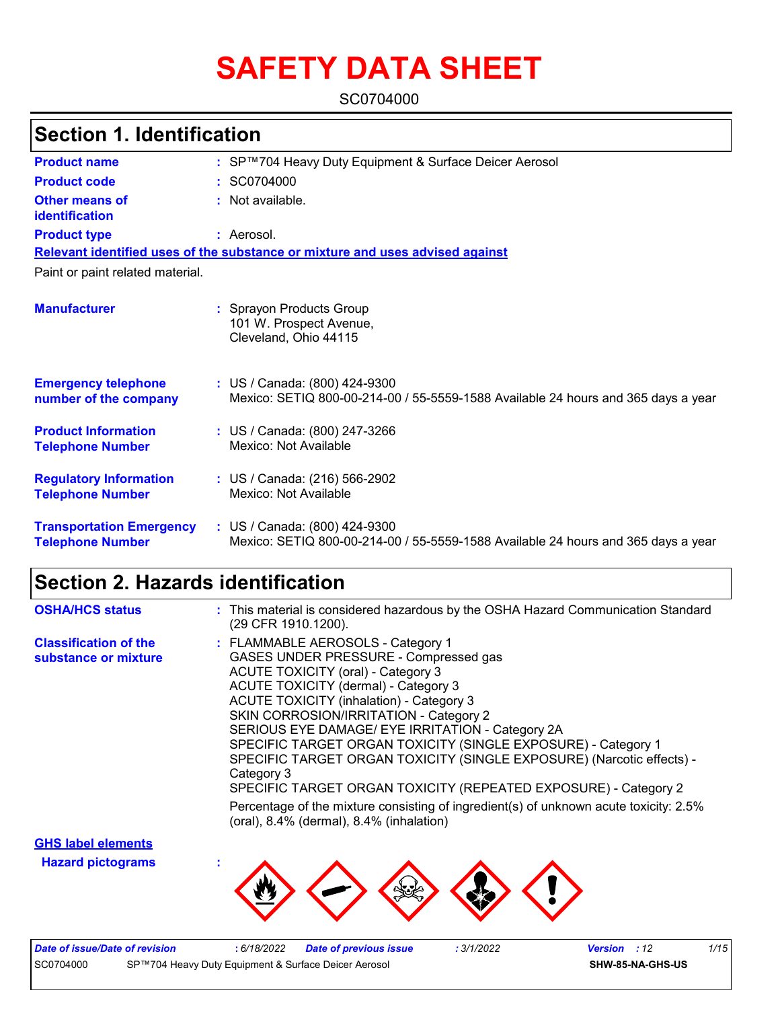# **SAFETY DATA SHEET**

SC0704000

### **Section 1. Identification**

| <b>Product name</b>                                        | : SP™704 Heavy Duty Equipment & Surface Deicer Aerosol                                                             |
|------------------------------------------------------------|--------------------------------------------------------------------------------------------------------------------|
| <b>Product code</b>                                        | : SC0704000                                                                                                        |
| Other means of<br>identification                           | : Not available.                                                                                                   |
| <b>Product type</b>                                        | : Aerosol.                                                                                                         |
|                                                            | Relevant identified uses of the substance or mixture and uses advised against                                      |
| Paint or paint related material.                           |                                                                                                                    |
| <b>Manufacturer</b>                                        | : Sprayon Products Group<br>101 W. Prospect Avenue,<br>Cleveland, Ohio 44115                                       |
| <b>Emergency telephone</b><br>number of the company        | : US / Canada: (800) 424-9300<br>Mexico: SETIQ 800-00-214-00 / 55-5559-1588 Available 24 hours and 365 days a year |
| <b>Product Information</b><br><b>Telephone Number</b>      | : US / Canada: (800) 247-3266<br>Mexico: Not Available                                                             |
| <b>Regulatory Information</b><br><b>Telephone Number</b>   | : US / Canada: (216) 566-2902<br>Mexico: Not Available                                                             |
| <b>Transportation Emergency</b><br><b>Telephone Number</b> | : US / Canada: (800) 424-9300<br>Mexico: SETIQ 800-00-214-00 / 55-5559-1588 Available 24 hours and 365 days a year |

### **Section 2. Hazards identification**

| <b>OSHA/HCS status</b>                               | : This material is considered hazardous by the OSHA Hazard Communication Standard<br>(29 CFR 1910.1200).                                                                                                                                                                                                                                                                                                                                                                                                                                                                                                                                                                         |
|------------------------------------------------------|----------------------------------------------------------------------------------------------------------------------------------------------------------------------------------------------------------------------------------------------------------------------------------------------------------------------------------------------------------------------------------------------------------------------------------------------------------------------------------------------------------------------------------------------------------------------------------------------------------------------------------------------------------------------------------|
| <b>Classification of the</b><br>substance or mixture | : FLAMMABLE AEROSOLS - Category 1<br>GASES UNDER PRESSURE - Compressed gas<br><b>ACUTE TOXICITY (oral) - Category 3</b><br>ACUTE TOXICITY (dermal) - Category 3<br><b>ACUTE TOXICITY (inhalation) - Category 3</b><br>SKIN CORROSION/IRRITATION - Category 2<br>SERIOUS EYE DAMAGE/ EYE IRRITATION - Category 2A<br>SPECIFIC TARGET ORGAN TOXICITY (SINGLE EXPOSURE) - Category 1<br>SPECIFIC TARGET ORGAN TOXICITY (SINGLE EXPOSURE) (Narcotic effects) -<br>Category 3<br>SPECIFIC TARGET ORGAN TOXICITY (REPEATED EXPOSURE) - Category 2<br>Percentage of the mixture consisting of ingredient(s) of unknown acute toxicity: 2.5%<br>(oral), 8.4% (dermal), 8.4% (inhalation) |
|                                                      |                                                                                                                                                                                                                                                                                                                                                                                                                                                                                                                                                                                                                                                                                  |

**Hazard pictograms : GHS label elements**



| Date of issue/Date of revision |                                                      | 6/18/2022 | <b>Date of previous issue</b> | : 3/1/2022 | <b>Version</b> : 12 | 1/15 |
|--------------------------------|------------------------------------------------------|-----------|-------------------------------|------------|---------------------|------|
| SC0704000                      | SP™704 Heavy Duty Equipment & Surface Deicer Aerosol |           |                               |            | SHW-85-NA-GHS-US    |      |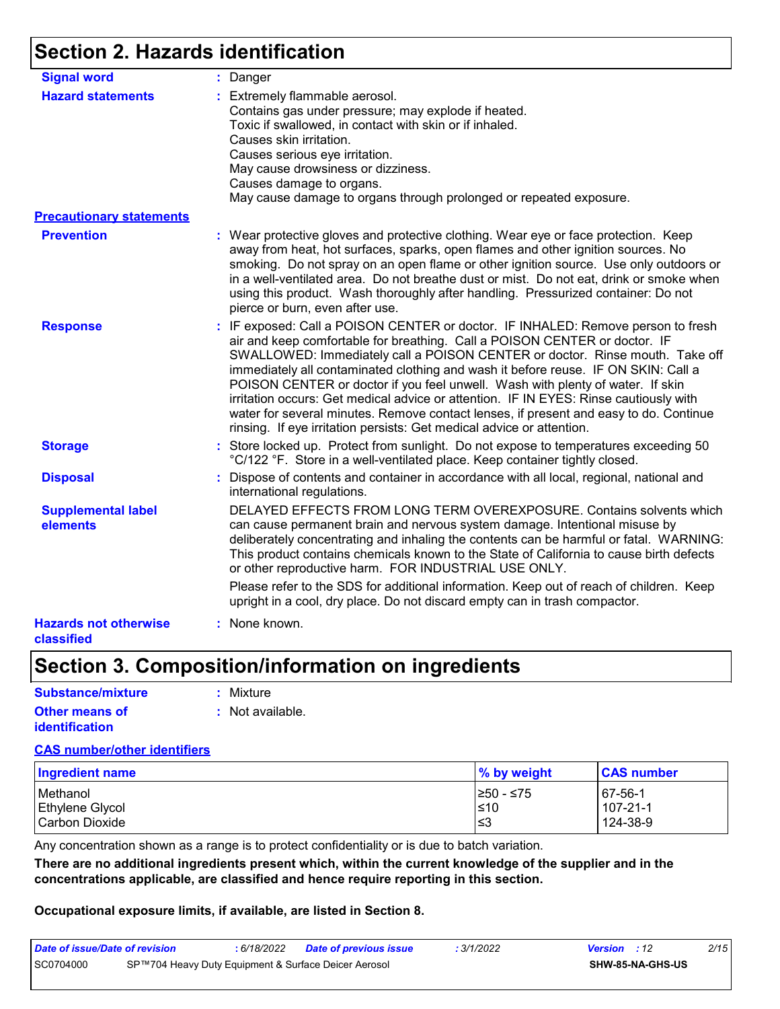### **Section 2. Hazards identification**

| <b>Signal word</b>                         | : Danger                                                                                                                                                                                                                                                                                                                                                                                                                                                                                                                                                                                                                                                                          |
|--------------------------------------------|-----------------------------------------------------------------------------------------------------------------------------------------------------------------------------------------------------------------------------------------------------------------------------------------------------------------------------------------------------------------------------------------------------------------------------------------------------------------------------------------------------------------------------------------------------------------------------------------------------------------------------------------------------------------------------------|
| <b>Hazard statements</b>                   | : Extremely flammable aerosol.<br>Contains gas under pressure; may explode if heated.<br>Toxic if swallowed, in contact with skin or if inhaled.<br>Causes skin irritation.<br>Causes serious eye irritation.<br>May cause drowsiness or dizziness.<br>Causes damage to organs.<br>May cause damage to organs through prolonged or repeated exposure.                                                                                                                                                                                                                                                                                                                             |
| <b>Precautionary statements</b>            |                                                                                                                                                                                                                                                                                                                                                                                                                                                                                                                                                                                                                                                                                   |
| <b>Prevention</b>                          | : Wear protective gloves and protective clothing. Wear eye or face protection. Keep<br>away from heat, hot surfaces, sparks, open flames and other ignition sources. No<br>smoking. Do not spray on an open flame or other ignition source. Use only outdoors or<br>in a well-ventilated area. Do not breathe dust or mist. Do not eat, drink or smoke when<br>using this product. Wash thoroughly after handling. Pressurized container: Do not<br>pierce or burn, even after use.                                                                                                                                                                                               |
| <b>Response</b>                            | : IF exposed: Call a POISON CENTER or doctor. IF INHALED: Remove person to fresh<br>air and keep comfortable for breathing. Call a POISON CENTER or doctor. IF<br>SWALLOWED: Immediately call a POISON CENTER or doctor. Rinse mouth. Take off<br>immediately all contaminated clothing and wash it before reuse. IF ON SKIN: Call a<br>POISON CENTER or doctor if you feel unwell. Wash with plenty of water. If skin<br>irritation occurs: Get medical advice or attention. IF IN EYES: Rinse cautiously with<br>water for several minutes. Remove contact lenses, if present and easy to do. Continue<br>rinsing. If eye irritation persists: Get medical advice or attention. |
| <b>Storage</b>                             | : Store locked up. Protect from sunlight. Do not expose to temperatures exceeding 50<br>°C/122 °F. Store in a well-ventilated place. Keep container tightly closed.                                                                                                                                                                                                                                                                                                                                                                                                                                                                                                               |
| <b>Disposal</b>                            | : Dispose of contents and container in accordance with all local, regional, national and<br>international regulations.                                                                                                                                                                                                                                                                                                                                                                                                                                                                                                                                                            |
| <b>Supplemental label</b><br>elements      | DELAYED EFFECTS FROM LONG TERM OVEREXPOSURE. Contains solvents which<br>can cause permanent brain and nervous system damage. Intentional misuse by<br>deliberately concentrating and inhaling the contents can be harmful or fatal. WARNING:<br>This product contains chemicals known to the State of California to cause birth defects<br>or other reproductive harm. FOR INDUSTRIAL USE ONLY.<br>Please refer to the SDS for additional information. Keep out of reach of children. Keep                                                                                                                                                                                        |
|                                            | upright in a cool, dry place. Do not discard empty can in trash compactor.                                                                                                                                                                                                                                                                                                                                                                                                                                                                                                                                                                                                        |
| <b>Hazards not otherwise</b><br>classified | : None known.                                                                                                                                                                                                                                                                                                                                                                                                                                                                                                                                                                                                                                                                     |

### **Section 3. Composition/information on ingredients**

| Substance/mixture     | : Mixture        |
|-----------------------|------------------|
| <b>Other means of</b> | : Not available. |
| <i>identification</i> |                  |

#### **CAS number/other identifiers**

| <b>Ingredient name</b> | % by weight | <b>CAS number</b> |
|------------------------|-------------|-------------------|
| Methanol               | 1≥50 - ≤75  | $ 67-56-1$        |
| <b>Ethylene Glycol</b> | ≤10         | 107-21-1          |
| Carbon Dioxide         | ≤3          | 124-38-9          |

Any concentration shown as a range is to protect confidentiality or is due to batch variation.

**There are no additional ingredients present which, within the current knowledge of the supplier and in the concentrations applicable, are classified and hence require reporting in this section.**

#### **Occupational exposure limits, if available, are listed in Section 8.**

| Date of issue/Date of revision | 6/18/2022 | <b>State of previous issue</b>                       | 3/1/2022 | <b>Version</b> : 12 | 2/15 |
|--------------------------------|-----------|------------------------------------------------------|----------|---------------------|------|
| SC0704000                      |           | SP™704 Heavy Duty Equipment & Surface Deicer Aerosol |          | SHW-85-NA-GHS-US    |      |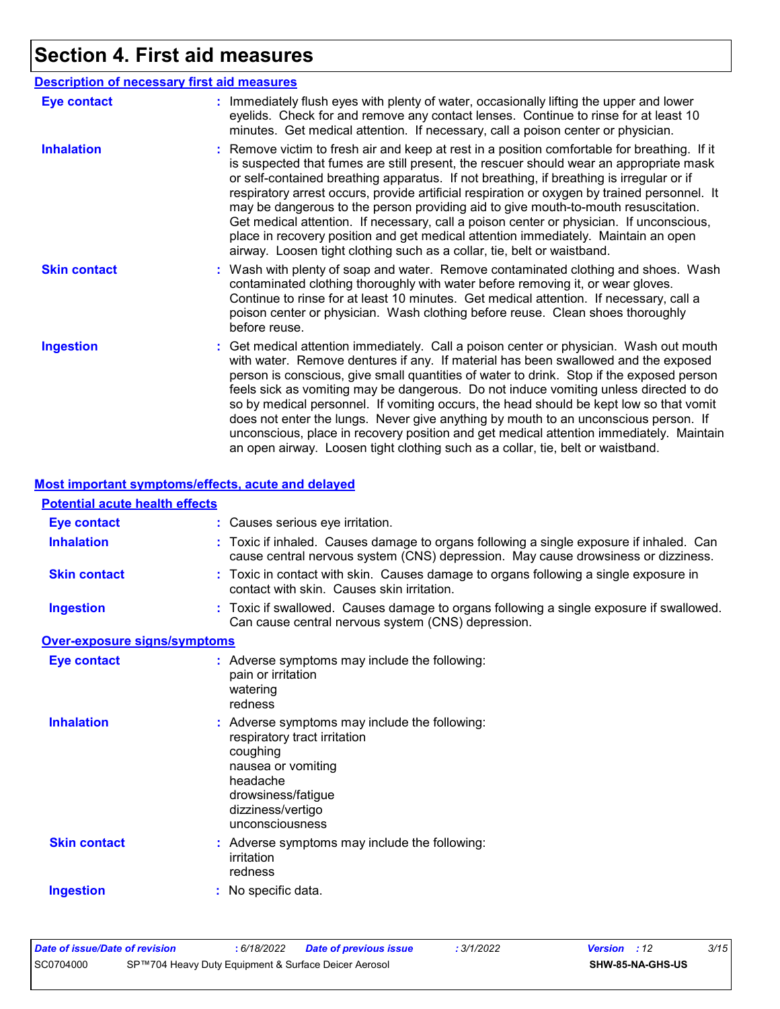# **Section 4. First aid measures**

| <b>Description of necessary first aid measures</b> |                                                                                                                                                                                                                                                                                                                                                                                                                                                                                                                                                                                                                                                                                                                                      |
|----------------------------------------------------|--------------------------------------------------------------------------------------------------------------------------------------------------------------------------------------------------------------------------------------------------------------------------------------------------------------------------------------------------------------------------------------------------------------------------------------------------------------------------------------------------------------------------------------------------------------------------------------------------------------------------------------------------------------------------------------------------------------------------------------|
| <b>Eye contact</b>                                 | : Immediately flush eyes with plenty of water, occasionally lifting the upper and lower<br>eyelids. Check for and remove any contact lenses. Continue to rinse for at least 10<br>minutes. Get medical attention. If necessary, call a poison center or physician.                                                                                                                                                                                                                                                                                                                                                                                                                                                                   |
| <b>Inhalation</b>                                  | : Remove victim to fresh air and keep at rest in a position comfortable for breathing. If it<br>is suspected that fumes are still present, the rescuer should wear an appropriate mask<br>or self-contained breathing apparatus. If not breathing, if breathing is irregular or if<br>respiratory arrest occurs, provide artificial respiration or oxygen by trained personnel. It<br>may be dangerous to the person providing aid to give mouth-to-mouth resuscitation.<br>Get medical attention. If necessary, call a poison center or physician. If unconscious,<br>place in recovery position and get medical attention immediately. Maintain an open<br>airway. Loosen tight clothing such as a collar, tie, belt or waistband. |
| <b>Skin contact</b>                                | : Wash with plenty of soap and water. Remove contaminated clothing and shoes. Wash<br>contaminated clothing thoroughly with water before removing it, or wear gloves.<br>Continue to rinse for at least 10 minutes. Get medical attention. If necessary, call a<br>poison center or physician. Wash clothing before reuse. Clean shoes thoroughly<br>before reuse.                                                                                                                                                                                                                                                                                                                                                                   |
| <b>Ingestion</b>                                   | : Get medical attention immediately. Call a poison center or physician. Wash out mouth<br>with water. Remove dentures if any. If material has been swallowed and the exposed<br>person is conscious, give small quantities of water to drink. Stop if the exposed person<br>feels sick as vomiting may be dangerous. Do not induce vomiting unless directed to do<br>so by medical personnel. If vomiting occurs, the head should be kept low so that vomit<br>does not enter the lungs. Never give anything by mouth to an unconscious person. If<br>unconscious, place in recovery position and get medical attention immediately. Maintain<br>an open airway. Loosen tight clothing such as a collar, tie, belt or waistband.     |

#### **Most important symptoms/effects, acute and delayed**

| <b>Potential acute health effects</b> |                                                                                                                                                                                           |
|---------------------------------------|-------------------------------------------------------------------------------------------------------------------------------------------------------------------------------------------|
| <b>Eye contact</b>                    | : Causes serious eye irritation.                                                                                                                                                          |
| <b>Inhalation</b>                     | : Toxic if inhaled. Causes damage to organs following a single exposure if inhaled. Can<br>cause central nervous system (CNS) depression. May cause drowsiness or dizziness.              |
| <b>Skin contact</b>                   | : Toxic in contact with skin. Causes damage to organs following a single exposure in<br>contact with skin. Causes skin irritation.                                                        |
| <b>Ingestion</b>                      | : Toxic if swallowed. Causes damage to organs following a single exposure if swallowed.<br>Can cause central nervous system (CNS) depression.                                             |
| <b>Over-exposure signs/symptoms</b>   |                                                                                                                                                                                           |
| <b>Eye contact</b>                    | : Adverse symptoms may include the following:<br>pain or irritation<br>watering<br>redness                                                                                                |
| <b>Inhalation</b>                     | : Adverse symptoms may include the following:<br>respiratory tract irritation<br>coughing<br>nausea or vomiting<br>headache<br>drowsiness/fatigue<br>dizziness/vertigo<br>unconsciousness |
| <b>Skin contact</b>                   | : Adverse symptoms may include the following:<br>irritation<br>redness                                                                                                                    |
| <b>Ingestion</b>                      | : No specific data.                                                                                                                                                                       |

| Date of issue/Date of revision |                                                      | : 6/18/2022 | <b>Date of previous issue</b> | : 3/1/2022 | <b>Version</b> : 12 |                         | 3/15 |
|--------------------------------|------------------------------------------------------|-------------|-------------------------------|------------|---------------------|-------------------------|------|
| SC0704000                      | SP™704 Heavy Duty Equipment & Surface Deicer Aerosol |             |                               |            |                     | <b>SHW-85-NA-GHS-US</b> |      |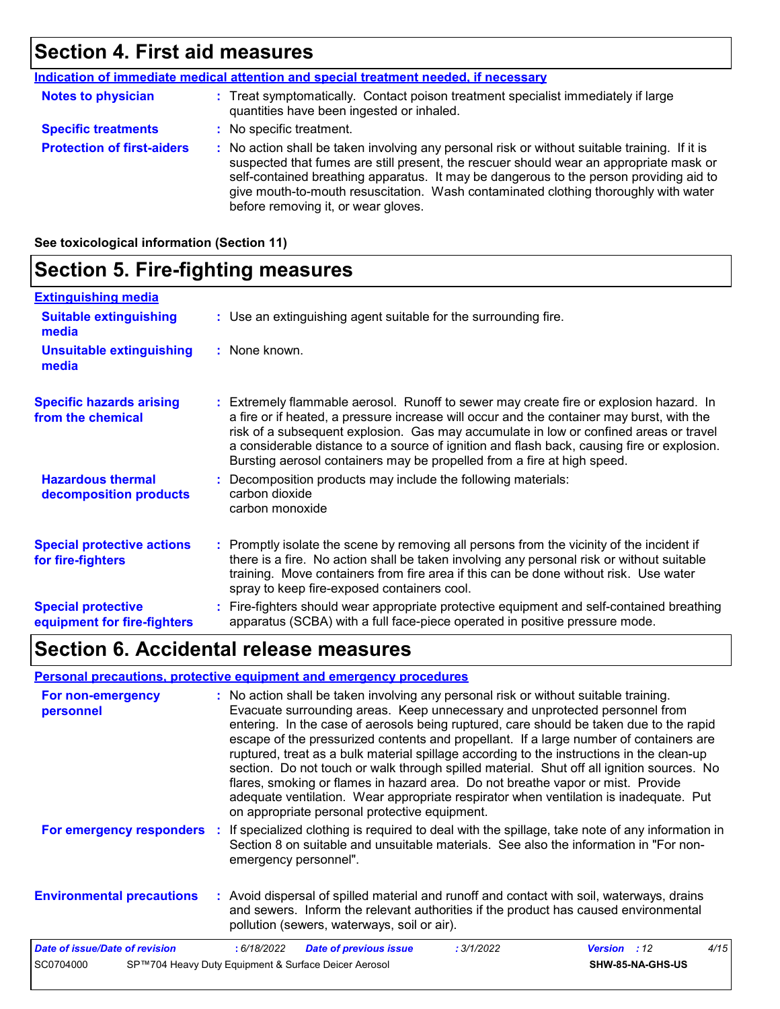### **Section 4. First aid measures**

|                                   | Indication of immediate medical attention and special treatment needed, if necessary                                                                                                                                                                                                                                                                                                                            |
|-----------------------------------|-----------------------------------------------------------------------------------------------------------------------------------------------------------------------------------------------------------------------------------------------------------------------------------------------------------------------------------------------------------------------------------------------------------------|
| <b>Notes to physician</b>         | : Treat symptomatically. Contact poison treatment specialist immediately if large<br>quantities have been ingested or inhaled.                                                                                                                                                                                                                                                                                  |
| <b>Specific treatments</b>        | : No specific treatment.                                                                                                                                                                                                                                                                                                                                                                                        |
| <b>Protection of first-aiders</b> | : No action shall be taken involving any personal risk or without suitable training. If it is<br>suspected that fumes are still present, the rescuer should wear an appropriate mask or<br>self-contained breathing apparatus. It may be dangerous to the person providing aid to<br>give mouth-to-mouth resuscitation. Wash contaminated clothing thoroughly with water<br>before removing it, or wear gloves. |

**See toxicological information (Section 11)**

### **Section 5. Fire-fighting measures**

| <b>Extinguishing media</b>                               |                                                                                                                                                                                                                                                                                                                                                                                                                                                       |
|----------------------------------------------------------|-------------------------------------------------------------------------------------------------------------------------------------------------------------------------------------------------------------------------------------------------------------------------------------------------------------------------------------------------------------------------------------------------------------------------------------------------------|
| <b>Suitable extinguishing</b><br>media                   | : Use an extinguishing agent suitable for the surrounding fire.                                                                                                                                                                                                                                                                                                                                                                                       |
| <b>Unsuitable extinguishing</b><br>media                 | : None known.                                                                                                                                                                                                                                                                                                                                                                                                                                         |
| <b>Specific hazards arising</b><br>from the chemical     | : Extremely flammable aerosol. Runoff to sewer may create fire or explosion hazard. In<br>a fire or if heated, a pressure increase will occur and the container may burst, with the<br>risk of a subsequent explosion. Gas may accumulate in low or confined areas or travel<br>a considerable distance to a source of ignition and flash back, causing fire or explosion.<br>Bursting aerosol containers may be propelled from a fire at high speed. |
| <b>Hazardous thermal</b><br>decomposition products       | Decomposition products may include the following materials:<br>carbon dioxide<br>carbon monoxide                                                                                                                                                                                                                                                                                                                                                      |
| <b>Special protective actions</b><br>for fire-fighters   | : Promptly isolate the scene by removing all persons from the vicinity of the incident if<br>there is a fire. No action shall be taken involving any personal risk or without suitable<br>training. Move containers from fire area if this can be done without risk. Use water<br>spray to keep fire-exposed containers cool.                                                                                                                         |
| <b>Special protective</b><br>equipment for fire-fighters | : Fire-fighters should wear appropriate protective equipment and self-contained breathing<br>apparatus (SCBA) with a full face-piece operated in positive pressure mode.                                                                                                                                                                                                                                                                              |

### **Section 6. Accidental release measures**

#### **Personal precautions, protective equipment and emergency procedures**

| For non-emergency<br>personnel   | : No action shall be taken involving any personal risk or without suitable training.<br>Evacuate surrounding areas. Keep unnecessary and unprotected personnel from<br>entering. In the case of aerosols being ruptured, care should be taken due to the rapid<br>escape of the pressurized contents and propellant. If a large number of containers are<br>ruptured, treat as a bulk material spillage according to the instructions in the clean-up<br>section. Do not touch or walk through spilled material. Shut off all ignition sources. No<br>flares, smoking or flames in hazard area. Do not breathe vapor or mist. Provide<br>adequate ventilation. Wear appropriate respirator when ventilation is inadequate. Put<br>on appropriate personal protective equipment. |                     |      |
|----------------------------------|---------------------------------------------------------------------------------------------------------------------------------------------------------------------------------------------------------------------------------------------------------------------------------------------------------------------------------------------------------------------------------------------------------------------------------------------------------------------------------------------------------------------------------------------------------------------------------------------------------------------------------------------------------------------------------------------------------------------------------------------------------------------------------|---------------------|------|
| For emergency responders         | If specialized clothing is required to deal with the spillage, take note of any information in<br>Section 8 on suitable and unsuitable materials. See also the information in "For non-<br>emergency personnel".                                                                                                                                                                                                                                                                                                                                                                                                                                                                                                                                                                |                     |      |
| <b>Environmental precautions</b> | : Avoid dispersal of spilled material and runoff and contact with soil, waterways, drains<br>and sewers. Inform the relevant authorities if the product has caused environmental<br>pollution (sewers, waterways, soil or air).                                                                                                                                                                                                                                                                                                                                                                                                                                                                                                                                                 |                     |      |
| Date of issue/Date of revision   | <b>Date of previous issue</b><br>: 6/18/2022<br>: 3/1/2022                                                                                                                                                                                                                                                                                                                                                                                                                                                                                                                                                                                                                                                                                                                      | <b>Version</b> : 12 | 4/15 |
| SC0704000                        | SP™704 Heavy Duty Equipment & Surface Deicer Aerosol                                                                                                                                                                                                                                                                                                                                                                                                                                                                                                                                                                                                                                                                                                                            | SHW-85-NA-GHS-US    |      |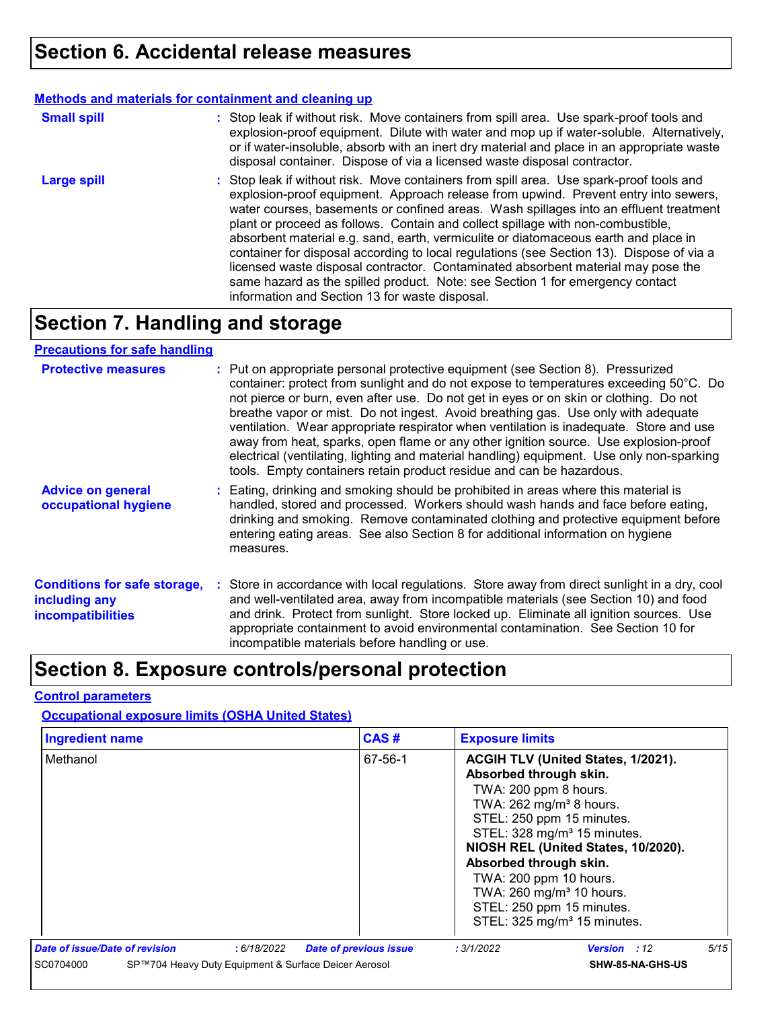#### **Methods and materials for containment and cleaning up**

| <b>Small spill</b> | : Stop leak if without risk. Move containers from spill area. Use spark-proof tools and<br>explosion-proof equipment. Dilute with water and mop up if water-soluble. Alternatively,<br>or if water-insoluble, absorb with an inert dry material and place in an appropriate waste<br>disposal container. Dispose of via a licensed waste disposal contractor.                                                                                                                                                                                                                                                                                                                                                                                                        |
|--------------------|----------------------------------------------------------------------------------------------------------------------------------------------------------------------------------------------------------------------------------------------------------------------------------------------------------------------------------------------------------------------------------------------------------------------------------------------------------------------------------------------------------------------------------------------------------------------------------------------------------------------------------------------------------------------------------------------------------------------------------------------------------------------|
| <b>Large spill</b> | : Stop leak if without risk. Move containers from spill area. Use spark-proof tools and<br>explosion-proof equipment. Approach release from upwind. Prevent entry into sewers,<br>water courses, basements or confined areas. Wash spillages into an effluent treatment<br>plant or proceed as follows. Contain and collect spillage with non-combustible,<br>absorbent material e.g. sand, earth, vermiculite or diatomaceous earth and place in<br>container for disposal according to local regulations (see Section 13). Dispose of via a<br>licensed waste disposal contractor. Contaminated absorbent material may pose the<br>same hazard as the spilled product. Note: see Section 1 for emergency contact<br>information and Section 13 for waste disposal. |

# **Section 7. Handling and storage**

#### **Precautions for safe handling**

| <b>Protective measures</b>                                                       | : Put on appropriate personal protective equipment (see Section 8). Pressurized<br>container: protect from sunlight and do not expose to temperatures exceeding 50°C. Do<br>not pierce or burn, even after use. Do not get in eyes or on skin or clothing. Do not<br>breathe vapor or mist. Do not ingest. Avoid breathing gas. Use only with adequate<br>ventilation. Wear appropriate respirator when ventilation is inadequate. Store and use<br>away from heat, sparks, open flame or any other ignition source. Use explosion-proof<br>electrical (ventilating, lighting and material handling) equipment. Use only non-sparking<br>tools. Empty containers retain product residue and can be hazardous. |
|----------------------------------------------------------------------------------|---------------------------------------------------------------------------------------------------------------------------------------------------------------------------------------------------------------------------------------------------------------------------------------------------------------------------------------------------------------------------------------------------------------------------------------------------------------------------------------------------------------------------------------------------------------------------------------------------------------------------------------------------------------------------------------------------------------|
| <b>Advice on general</b><br>occupational hygiene                                 | : Eating, drinking and smoking should be prohibited in areas where this material is<br>handled, stored and processed. Workers should wash hands and face before eating,<br>drinking and smoking. Remove contaminated clothing and protective equipment before<br>entering eating areas. See also Section 8 for additional information on hygiene<br>measures.                                                                                                                                                                                                                                                                                                                                                 |
| <b>Conditions for safe storage,</b><br>including any<br><b>incompatibilities</b> | : Store in accordance with local regulations. Store away from direct sunlight in a dry, cool<br>and well-ventilated area, away from incompatible materials (see Section 10) and food<br>and drink. Protect from sunlight. Store locked up. Eliminate all ignition sources. Use<br>appropriate containment to avoid environmental contamination. See Section 10 for<br>incompatible materials before handling or use.                                                                                                                                                                                                                                                                                          |

# **Section 8. Exposure controls/personal protection**

#### **Control parameters**

#### **Occupational exposure limits (OSHA United States)**

| <b>Ingredient name</b>                                            | CAS#                          | <b>Exposure limits</b>                                                                                                                                                                                                                       |                                                                                                                                                                 |      |
|-------------------------------------------------------------------|-------------------------------|----------------------------------------------------------------------------------------------------------------------------------------------------------------------------------------------------------------------------------------------|-----------------------------------------------------------------------------------------------------------------------------------------------------------------|------|
| Methanol                                                          | 67-56-1                       | Absorbed through skin.<br>TWA: 200 ppm 8 hours.<br>TWA: 262 mg/m <sup>3</sup> 8 hours.<br>STEL: 250 ppm 15 minutes.<br>Absorbed through skin.<br>TWA: 200 ppm 10 hours.<br>TWA: 260 mg/m <sup>3</sup> 10 hours.<br>STEL: 250 ppm 15 minutes. | ACGIH TLV (United States, 1/2021).<br>STEL: 328 mg/m <sup>3</sup> 15 minutes.<br>NIOSH REL (United States, 10/2020).<br>STEL: 325 mg/m <sup>3</sup> 15 minutes. |      |
| Date of issue/Date of revision<br>: 6/18/2022                     | <b>Date of previous issue</b> | : 3/1/2022                                                                                                                                                                                                                                   | <b>Version</b> : 12                                                                                                                                             | 5/15 |
| SC0704000<br>SP™704 Heavy Duty Equipment & Surface Deicer Aerosol |                               |                                                                                                                                                                                                                                              | SHW-85-NA-GHS-US                                                                                                                                                |      |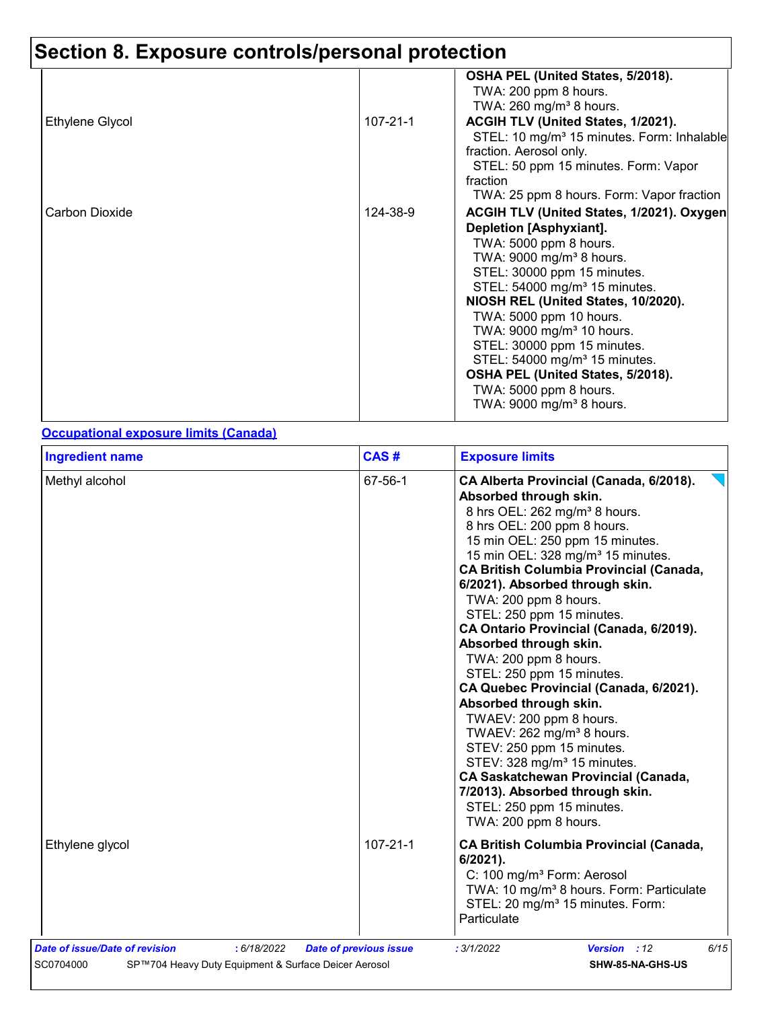# **Section 8. Exposure controls/personal protection**

|                 |                | OSHA PEL (United States, 5/2018).<br>TWA: 200 ppm 8 hours.<br>TWA: 260 mg/m <sup>3</sup> 8 hours.                                                               |
|-----------------|----------------|-----------------------------------------------------------------------------------------------------------------------------------------------------------------|
| Ethylene Glycol | $107 - 21 - 1$ | ACGIH TLV (United States, 1/2021).<br>STEL: 10 mg/m <sup>3</sup> 15 minutes. Form: Inhalable<br>fraction. Aerosol only.<br>STEL: 50 ppm 15 minutes. Form: Vapor |
|                 |                | fraction<br>TWA: 25 ppm 8 hours. Form: Vapor fraction                                                                                                           |
| Carbon Dioxide  | 124-38-9       | ACGIH TLV (United States, 1/2021). Oxygen                                                                                                                       |
|                 |                | <b>Depletion [Asphyxiant].</b>                                                                                                                                  |
|                 |                | TWA: 5000 ppm 8 hours.                                                                                                                                          |
|                 |                | TWA: 9000 mg/m <sup>3</sup> 8 hours.                                                                                                                            |
|                 |                | STEL: 30000 ppm 15 minutes.                                                                                                                                     |
|                 |                | STEL: 54000 mg/m <sup>3</sup> 15 minutes.                                                                                                                       |
|                 |                | NIOSH REL (United States, 10/2020).                                                                                                                             |
|                 |                | TWA: 5000 ppm 10 hours.                                                                                                                                         |
|                 |                | TWA: 9000 mg/m <sup>3</sup> 10 hours.                                                                                                                           |
|                 |                | STEL: 30000 ppm 15 minutes.                                                                                                                                     |
|                 |                | STEL: 54000 mg/m <sup>3</sup> 15 minutes.                                                                                                                       |
|                 |                | OSHA PEL (United States, 5/2018).                                                                                                                               |
|                 |                | TWA: 5000 ppm 8 hours.<br>TWA: 9000 mg/m <sup>3</sup> 8 hours.                                                                                                  |
|                 |                |                                                                                                                                                                 |

#### **Occupational exposure limits (Canada)**

| 67-56-1                       | CA Alberta Provincial (Canada, 6/2018).<br>Absorbed through skin.<br>8 hrs OEL: 262 mg/m <sup>3</sup> 8 hours.<br>8 hrs OEL: 200 ppm 8 hours.<br>15 min OEL: 250 ppm 15 minutes.<br>15 min OEL: 328 mg/m <sup>3</sup> 15 minutes.<br><b>CA British Columbia Provincial (Canada,</b><br>6/2021). Absorbed through skin.<br>TWA: 200 ppm 8 hours.<br>STEL: 250 ppm 15 minutes.<br>CA Ontario Provincial (Canada, 6/2019).<br>Absorbed through skin. |
|-------------------------------|---------------------------------------------------------------------------------------------------------------------------------------------------------------------------------------------------------------------------------------------------------------------------------------------------------------------------------------------------------------------------------------------------------------------------------------------------|
|                               | TWA: 200 ppm 8 hours.<br>STEL: 250 ppm 15 minutes.<br>CA Quebec Provincial (Canada, 6/2021).<br>Absorbed through skin.<br>TWAEV: 200 ppm 8 hours.<br>TWAEV: 262 mg/m <sup>3</sup> 8 hours.<br>STEV: 250 ppm 15 minutes.<br>STEV: 328 mg/m <sup>3</sup> 15 minutes.<br><b>CA Saskatchewan Provincial (Canada,</b><br>7/2013). Absorbed through skin.<br>STEL: 250 ppm 15 minutes.<br>TWA: 200 ppm 8 hours.                                         |
| $107 - 21 - 1$                | <b>CA British Columbia Provincial (Canada,</b><br>$6/2021$ ).<br>C: 100 mg/m <sup>3</sup> Form: Aerosol<br>TWA: 10 mg/m <sup>3</sup> 8 hours. Form: Particulate<br>STEL: 20 mg/m <sup>3</sup> 15 minutes. Form:<br>Particulate                                                                                                                                                                                                                    |
| <b>Date of previous issue</b> | 6/15<br>: 3/1/2022<br><b>Version</b> : 12                                                                                                                                                                                                                                                                                                                                                                                                         |
|                               | SP™704 Heavy Duty Equipment & Surface Deicer Aerosol                                                                                                                                                                                                                                                                                                                                                                                              |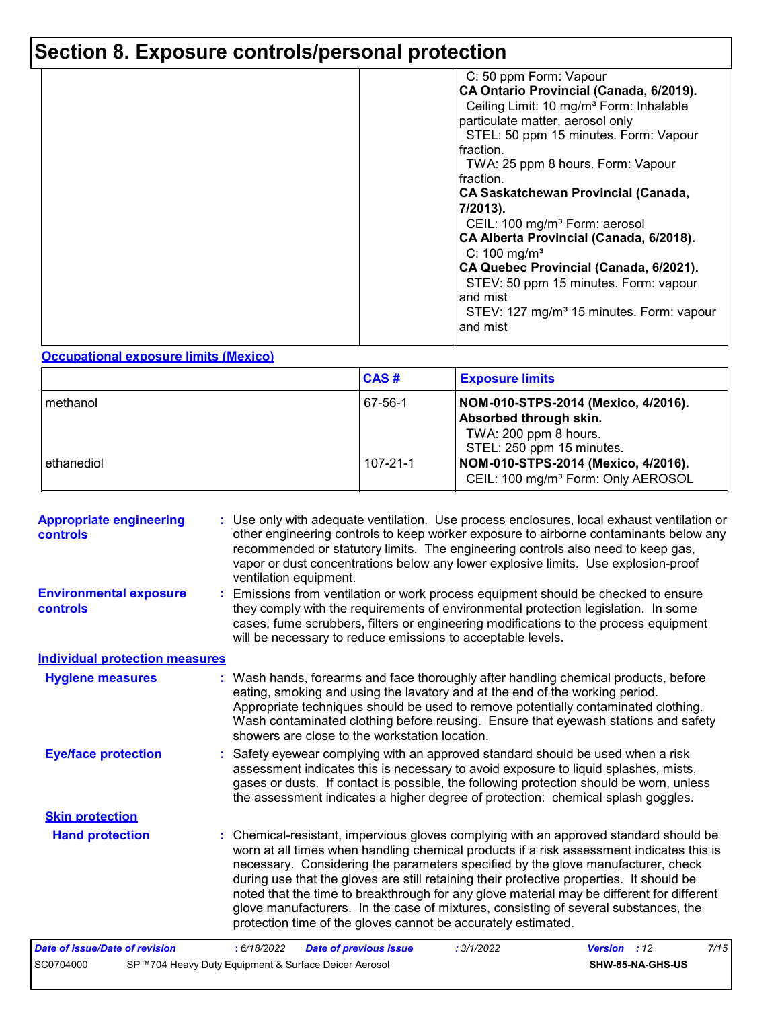# **Section 8. Exposure controls/personal protection**

| C: 50 ppm Form: Vapour<br>CA Ontario Provincial (Canada, 6/2019).<br>Ceiling Limit: 10 mg/m <sup>3</sup> Form: Inhalable<br>particulate matter, aerosol only<br>STEL: 50 ppm 15 minutes. Form: Vapour<br>fraction.<br>TWA: 25 ppm 8 hours. Form: Vapour<br>fraction.<br><b>CA Saskatchewan Provincial (Canada,</b><br>7/2013).<br>CEIL: 100 mg/m <sup>3</sup> Form: aerosol<br>CA Alberta Provincial (Canada, 6/2018).<br>C: 100 mg/m <sup>3</sup><br>CA Quebec Provincial (Canada, 6/2021).<br>STEV: 50 ppm 15 minutes. Form: vapour<br>and mist<br>STEV: 127 mg/m <sup>3</sup> 15 minutes. Form: vapour<br>and mist |
|-----------------------------------------------------------------------------------------------------------------------------------------------------------------------------------------------------------------------------------------------------------------------------------------------------------------------------------------------------------------------------------------------------------------------------------------------------------------------------------------------------------------------------------------------------------------------------------------------------------------------|
|                                                                                                                                                                                                                                                                                                                                                                                                                                                                                                                                                                                                                       |

#### **Occupational exposure limits (Mexico)**

|              | CAS#     | <b>Exposure limits</b>                                                                                             |
|--------------|----------|--------------------------------------------------------------------------------------------------------------------|
| l methanol   | 67-56-1  | NOM-010-STPS-2014 (Mexico, 4/2016).<br>Absorbed through skin.<br>TWA: 200 ppm 8 hours.                             |
| l ethanediol | 107-21-1 | STEL: 250 ppm 15 minutes.<br>NOM-010-STPS-2014 (Mexico, 4/2016).<br>CEIL: 100 mg/m <sup>3</sup> Form: Only AEROSOL |

| <b>Appropriate engineering</b><br>controls<br><b>Environmental exposure</b><br>controls | : Use only with adequate ventilation. Use process enclosures, local exhaust ventilation or<br>other engineering controls to keep worker exposure to airborne contaminants below any<br>recommended or statutory limits. The engineering controls also need to keep gas,<br>vapor or dust concentrations below any lower explosive limits. Use explosion-proof<br>ventilation equipment.<br>: Emissions from ventilation or work process equipment should be checked to ensure<br>they comply with the requirements of environmental protection legislation. In some<br>cases, fume scrubbers, filters or engineering modifications to the process equipment<br>will be necessary to reduce emissions to acceptable levels. |
|-----------------------------------------------------------------------------------------|----------------------------------------------------------------------------------------------------------------------------------------------------------------------------------------------------------------------------------------------------------------------------------------------------------------------------------------------------------------------------------------------------------------------------------------------------------------------------------------------------------------------------------------------------------------------------------------------------------------------------------------------------------------------------------------------------------------------------|
| <b>Individual protection measures</b>                                                   |                                                                                                                                                                                                                                                                                                                                                                                                                                                                                                                                                                                                                                                                                                                            |
| <b>Hygiene measures</b>                                                                 | : Wash hands, forearms and face thoroughly after handling chemical products, before<br>eating, smoking and using the lavatory and at the end of the working period.<br>Appropriate techniques should be used to remove potentially contaminated clothing.<br>Wash contaminated clothing before reusing. Ensure that eyewash stations and safety<br>showers are close to the workstation location.                                                                                                                                                                                                                                                                                                                          |
| <b>Eye/face protection</b>                                                              | : Safety eyewear complying with an approved standard should be used when a risk<br>assessment indicates this is necessary to avoid exposure to liquid splashes, mists,<br>gases or dusts. If contact is possible, the following protection should be worn, unless<br>the assessment indicates a higher degree of protection: chemical splash goggles.                                                                                                                                                                                                                                                                                                                                                                      |
| <b>Skin protection</b>                                                                  |                                                                                                                                                                                                                                                                                                                                                                                                                                                                                                                                                                                                                                                                                                                            |
| <b>Hand protection</b>                                                                  | : Chemical-resistant, impervious gloves complying with an approved standard should be<br>worn at all times when handling chemical products if a risk assessment indicates this is<br>necessary. Considering the parameters specified by the glove manufacturer, check<br>during use that the gloves are still retaining their protective properties. It should be<br>noted that the time to breakthrough for any glove material may be different for different<br>glove manufacturers. In the case of mixtures, consisting of several substances, the<br>protection time of the gloves cannot be accurately estimated.                                                                                                     |
| <b>Date of issue/Date of revision</b>                                                   | <b>Date of previous issue</b><br>7/15<br>: 6/18/2022<br>: 3/1/2022<br>Version : 12                                                                                                                                                                                                                                                                                                                                                                                                                                                                                                                                                                                                                                         |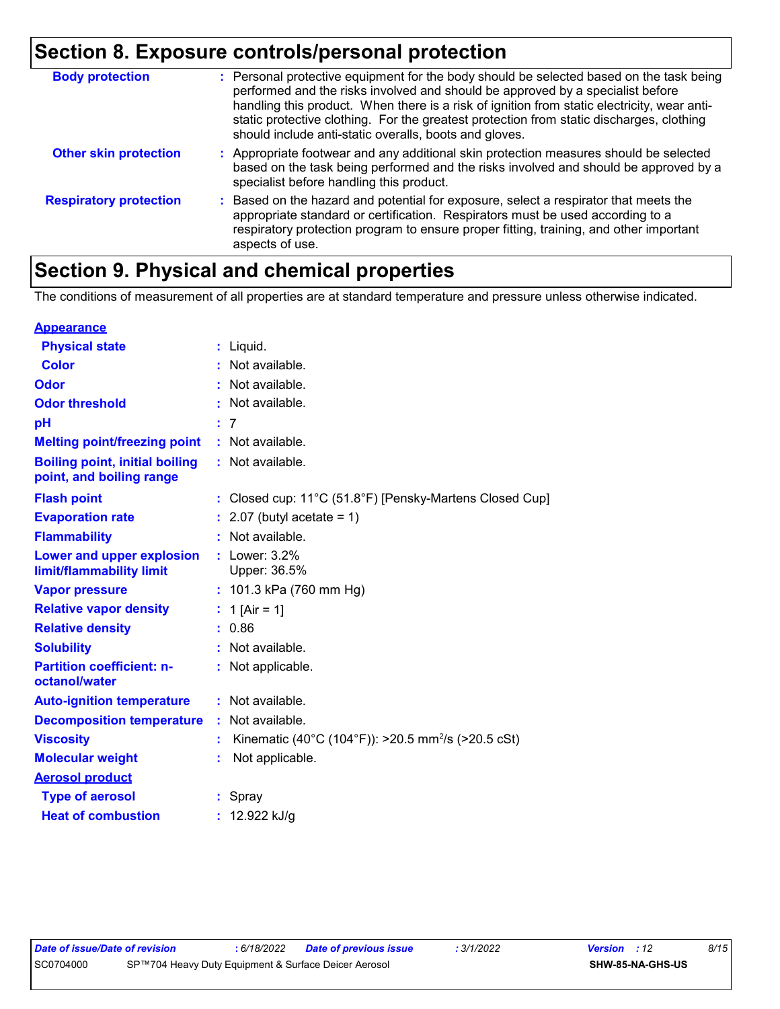# **Section 8. Exposure controls/personal protection**

| <b>Body protection</b>        | : Personal protective equipment for the body should be selected based on the task being<br>performed and the risks involved and should be approved by a specialist before<br>handling this product. When there is a risk of ignition from static electricity, wear anti-<br>static protective clothing. For the greatest protection from static discharges, clothing<br>should include anti-static overalls, boots and gloves. |
|-------------------------------|--------------------------------------------------------------------------------------------------------------------------------------------------------------------------------------------------------------------------------------------------------------------------------------------------------------------------------------------------------------------------------------------------------------------------------|
| <b>Other skin protection</b>  | : Appropriate footwear and any additional skin protection measures should be selected<br>based on the task being performed and the risks involved and should be approved by a<br>specialist before handling this product.                                                                                                                                                                                                      |
| <b>Respiratory protection</b> | : Based on the hazard and potential for exposure, select a respirator that meets the<br>appropriate standard or certification. Respirators must be used according to a<br>respiratory protection program to ensure proper fitting, training, and other important<br>aspects of use.                                                                                                                                            |

### **Section 9. Physical and chemical properties**

The conditions of measurement of all properties are at standard temperature and pressure unless otherwise indicated.

| <b>Appearance</b>                                                 |                                                                |
|-------------------------------------------------------------------|----------------------------------------------------------------|
| <b>Physical state</b>                                             | $:$ Liquid.                                                    |
| <b>Color</b>                                                      | : Not available.                                               |
| Odor                                                              | : Not available.                                               |
| <b>Odor threshold</b>                                             | Not available.                                                 |
| рH                                                                | :7                                                             |
| <b>Melting point/freezing point</b>                               | : Not available.                                               |
| <b>Boiling point, initial boiling</b><br>point, and boiling range | : Not available.                                               |
| <b>Flash point</b>                                                | : Closed cup: 11°C (51.8°F) [Pensky-Martens Closed Cup]        |
| <b>Evaporation rate</b>                                           | $: 2.07$ (butyl acetate = 1)                                   |
| <b>Flammability</b>                                               | $:$ Not available.                                             |
| Lower and upper explosion<br>limit/flammability limit             | $:$ Lower: $3.2\%$<br>Upper: 36.5%                             |
| <b>Vapor pressure</b>                                             | : $101.3$ kPa (760 mm Hg)                                      |
| <b>Relative vapor density</b>                                     | : 1 [Air = 1]                                                  |
| <b>Relative density</b>                                           | : 0.86                                                         |
| <b>Solubility</b>                                                 | : Not available.                                               |
| <b>Partition coefficient: n-</b><br>octanol/water                 | : Not applicable.                                              |
| <b>Auto-ignition temperature</b>                                  | : Not available.                                               |
| <b>Decomposition temperature</b>                                  | : Not available.                                               |
| <b>Viscosity</b>                                                  | Kinematic (40°C (104°F)): >20.5 mm <sup>2</sup> /s (>20.5 cSt) |
| <b>Molecular weight</b>                                           | Not applicable.                                                |
| <b>Aerosol product</b>                                            |                                                                |
| <b>Type of aerosol</b>                                            | : Spray                                                        |
| <b>Heat of combustion</b>                                         | 12.922 kJ/g                                                    |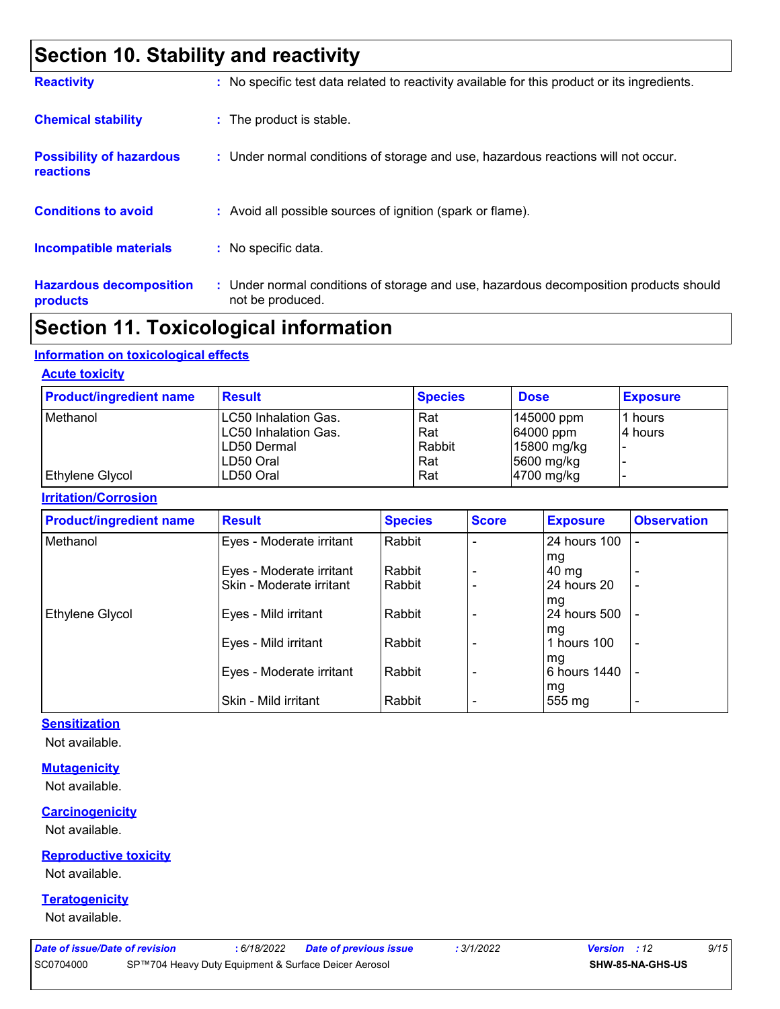### **Section 10. Stability and reactivity**

| <b>Reactivity</b>                            | : No specific test data related to reactivity available for this product or its ingredients.              |
|----------------------------------------------|-----------------------------------------------------------------------------------------------------------|
| <b>Chemical stability</b>                    | : The product is stable.                                                                                  |
| <b>Possibility of hazardous</b><br>reactions | : Under normal conditions of storage and use, hazardous reactions will not occur.                         |
| <b>Conditions to avoid</b>                   | : Avoid all possible sources of ignition (spark or flame).                                                |
| Incompatible materials                       | : No specific data.                                                                                       |
| <b>Hazardous decomposition</b><br>products   | : Under normal conditions of storage and use, hazardous decomposition products should<br>not be produced. |

### **Section 11. Toxicological information**

#### **Information on toxicological effects**

#### **Acute toxicity**

| <b>Product/ingredient name</b> | <b>Result</b>               | <b>Species</b> | <b>Dose</b>  | <b>Exposure</b> |
|--------------------------------|-----------------------------|----------------|--------------|-----------------|
| Methanol                       | <b>LC50 Inhalation Gas.</b> | Rat            | 145000 ppm   | l1 hours        |
|                                | LC50 Inhalation Gas.        | Rat            | $64000$ ppm  | 14 hours        |
|                                | ILD50 Dermal                | Rabbit         | 15800 mg/kg  |                 |
|                                | ILD50 Oral                  | Rat            | 5600 mg/kg   |                 |
| Ethylene Glycol                | LD50 Oral                   | Rat            | $4700$ mg/kg |                 |

#### **Irritation/Corrosion**

| <b>Product/ingredient name</b> | <b>Result</b>            | <b>Species</b> | <b>Score</b> | <b>Exposure</b> | <b>Observation</b> |
|--------------------------------|--------------------------|----------------|--------------|-----------------|--------------------|
| Methanol                       | Eyes - Moderate irritant | Rabbit         |              | 24 hours 100    |                    |
|                                |                          |                |              | mg              |                    |
|                                | Eyes - Moderate irritant | Rabbit         |              | $40 \text{ mg}$ |                    |
|                                | Skin - Moderate irritant | Rabbit         |              | 24 hours 20     | $\blacksquare$     |
|                                |                          |                |              | mg              |                    |
| Ethylene Glycol                | Eyes - Mild irritant     | Rabbit         |              | 24 hours 500    |                    |
|                                |                          |                |              | mg              |                    |
|                                | Eyes - Mild irritant     | Rabbit         |              | 1 hours 100     | -                  |
|                                |                          |                |              | mg              |                    |
|                                | Eyes - Moderate irritant | Rabbit         |              | 6 hours 1440    | $\overline{a}$     |
|                                |                          |                |              | mg              |                    |
|                                | Skin - Mild irritant     | Rabbit         |              | 555 mg          | ٠                  |

#### **Sensitization**

Not available.

#### **Mutagenicity**

Not available.

#### **Carcinogenicity**

Not available.

#### **Reproductive toxicity**

Not available.

#### **Teratogenicity**

Not available.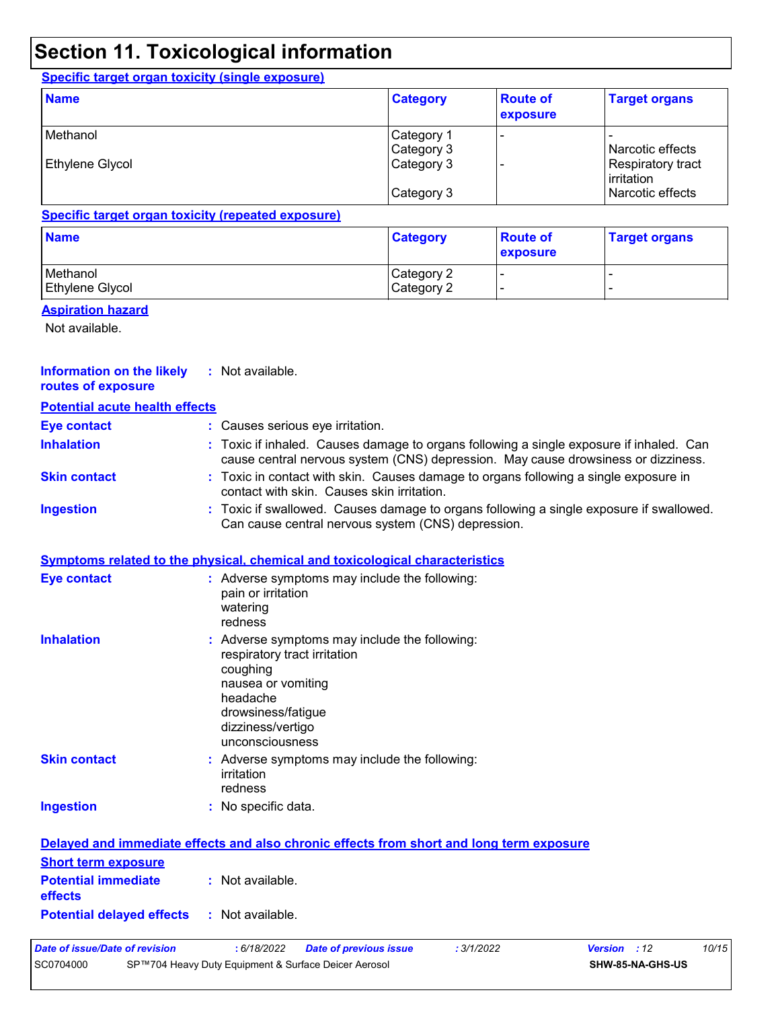### **Section 11. Toxicological information**

#### **Specific target organ toxicity (single exposure)**

| <b>Name</b>     | <b>Category</b>          | <b>Route of</b><br>exposure | <b>Target organs</b>               |
|-----------------|--------------------------|-----------------------------|------------------------------------|
| Methanol        | Category 1<br>Category 3 |                             | l Narcotic effects                 |
| Ethylene Glycol | Category 3               |                             | Respiratory tract<br>l irritation. |
|                 | Category 3               |                             | Narcotic effects                   |

#### **Specific target organ toxicity (repeated exposure)**

| <b>Category</b>          | <b>Route of</b><br><b>exposure</b> | <b>Target organs</b> |
|--------------------------|------------------------------------|----------------------|
| Category 2<br>Category 2 |                                    |                      |
|                          |                                    |                      |

#### **Aspiration hazard**

Not available.

| <b>Information on the likely</b><br>routes of exposure | : Not available.                                                                                                                                                                        |
|--------------------------------------------------------|-----------------------------------------------------------------------------------------------------------------------------------------------------------------------------------------|
| <b>Potential acute health effects</b>                  |                                                                                                                                                                                         |
| <b>Eye contact</b>                                     | : Causes serious eye irritation.                                                                                                                                                        |
| <b>Inhalation</b>                                      | : Toxic if inhaled. Causes damage to organs following a single exposure if inhaled. Can<br>cause central nervous system (CNS) depression. May cause drowsiness or dizziness.            |
| <b>Skin contact</b>                                    | : Toxic in contact with skin. Causes damage to organs following a single exposure in<br>contact with skin. Causes skin irritation.                                                      |
| <b>Ingestion</b>                                       | : Toxic if swallowed. Causes damage to organs following a single exposure if swallowed.<br>Can cause central nervous system (CNS) depression.                                           |
|                                                        | <b>Symptoms related to the physical, chemical and toxicological characteristics</b>                                                                                                     |
| <b>Eye contact</b>                                     | : Adverse symptoms may include the following:<br>pain or irritation<br>watering<br>redness                                                                                              |
| <b>Inhalation</b>                                      | Adverse symptoms may include the following:<br>respiratory tract irritation<br>coughing<br>nausea or vomiting<br>headache<br>drowsiness/fatigue<br>dizziness/vertigo<br>unconsciousness |
| <b>Skin contact</b>                                    | : Adverse symptoms may include the following:<br>irritation<br>redness                                                                                                                  |
| <b>Ingestion</b>                                       | : No specific data.                                                                                                                                                                     |
|                                                        | Delayed and immediate effects and also chronic effects from short and long term exposure                                                                                                |
| <b>Short term exposure</b>                             |                                                                                                                                                                                         |
| <b>Potential immediate</b><br>effects                  | : Not available.                                                                                                                                                                        |
| <b>Potential delayed effects</b>                       | : Not available.                                                                                                                                                                        |
| <b>Date of issue/Date of revision</b><br>SC0704000     | : 6/18/2022<br>: 3/1/2022<br>10/15<br><b>Version</b> : 12<br><b>Date of previous issue</b><br>SP™704 Heavy Duty Equipment & Surface Deicer Aerosol<br>SHW-85-NA-GHS-US                  |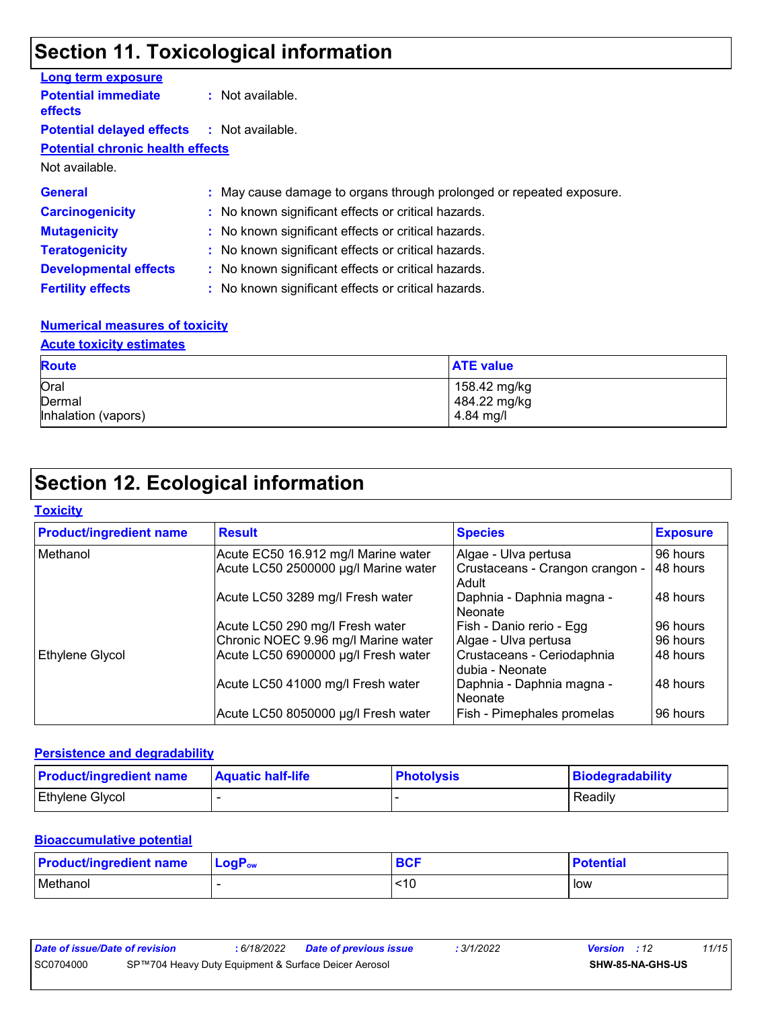### **Section 11. Toxicological information**

| <b>Long term exposure</b>                         |                                                                      |
|---------------------------------------------------|----------------------------------------------------------------------|
| <b>Potential immediate</b><br>effects             | $\therefore$ Not available.                                          |
| <b>Potential delayed effects : Not available.</b> |                                                                      |
| <b>Potential chronic health effects</b>           |                                                                      |
| Not available.                                    |                                                                      |
| <b>General</b>                                    | : May cause damage to organs through prolonged or repeated exposure. |
| <b>Carcinogenicity</b>                            | : No known significant effects or critical hazards.                  |
| <b>Mutagenicity</b>                               | : No known significant effects or critical hazards.                  |
| <b>Teratogenicity</b>                             | : No known significant effects or critical hazards.                  |
| <b>Developmental effects</b>                      | : No known significant effects or critical hazards.                  |
| <b>Fertility effects</b>                          | : No known significant effects or critical hazards.                  |

#### **Numerical measures of toxicity**

#### **Acute toxicity estimates**

| <b>Route</b>        | <b>ATE value</b> |
|---------------------|------------------|
| Oral                | 158.42 mg/kg     |
| Dermal              | 484.22 mg/kg     |
| Inhalation (vapors) | 4.84 mg/l        |

### **Section 12. Ecological information**

#### **Toxicity**

| <b>Product/ingredient name</b> | <b>Result</b>                        | <b>Species</b>                                | <b>Exposure</b> |
|--------------------------------|--------------------------------------|-----------------------------------------------|-----------------|
| Methanol                       | Acute EC50 16.912 mg/l Marine water  | Algae - Ulva pertusa                          | 96 hours        |
|                                | Acute LC50 2500000 µg/l Marine water | Crustaceans - Crangon crangon -<br>Adult      | 48 hours        |
|                                | Acute LC50 3289 mg/l Fresh water     | Daphnia - Daphnia magna -<br>Neonate          | 48 hours        |
|                                | Acute LC50 290 mg/l Fresh water      | Fish - Danio rerio - Egg                      | 96 hours        |
|                                | Chronic NOEC 9.96 mg/l Marine water  | Algae - Ulva pertusa                          | 96 hours        |
| Ethylene Glycol                | Acute LC50 6900000 µg/l Fresh water  | Crustaceans - Ceriodaphnia<br>dubia - Neonate | 48 hours        |
|                                | Acute LC50 41000 mg/l Fresh water    | Daphnia - Daphnia magna -<br>Neonate          | 48 hours        |
|                                | Acute LC50 8050000 µg/l Fresh water  | Fish - Pimephales promelas                    | 96 hours        |

#### **Persistence and degradability**

| <b>Product/ingredient name</b> | <b>Aquatic half-life</b> | <b>Photolysis</b> | <b>Biodegradability</b> |
|--------------------------------|--------------------------|-------------------|-------------------------|
| <b>Ethylene Glycol</b>         |                          |                   | Readily                 |

#### **Bioaccumulative potential**

| <b>Product/ingredient name</b> | $\mathsf{LogP}_\mathsf{ow}$ | <b>BCF</b> | <b>Potential</b> |
|--------------------------------|-----------------------------|------------|------------------|
| Methanol                       |                             | <10        | low              |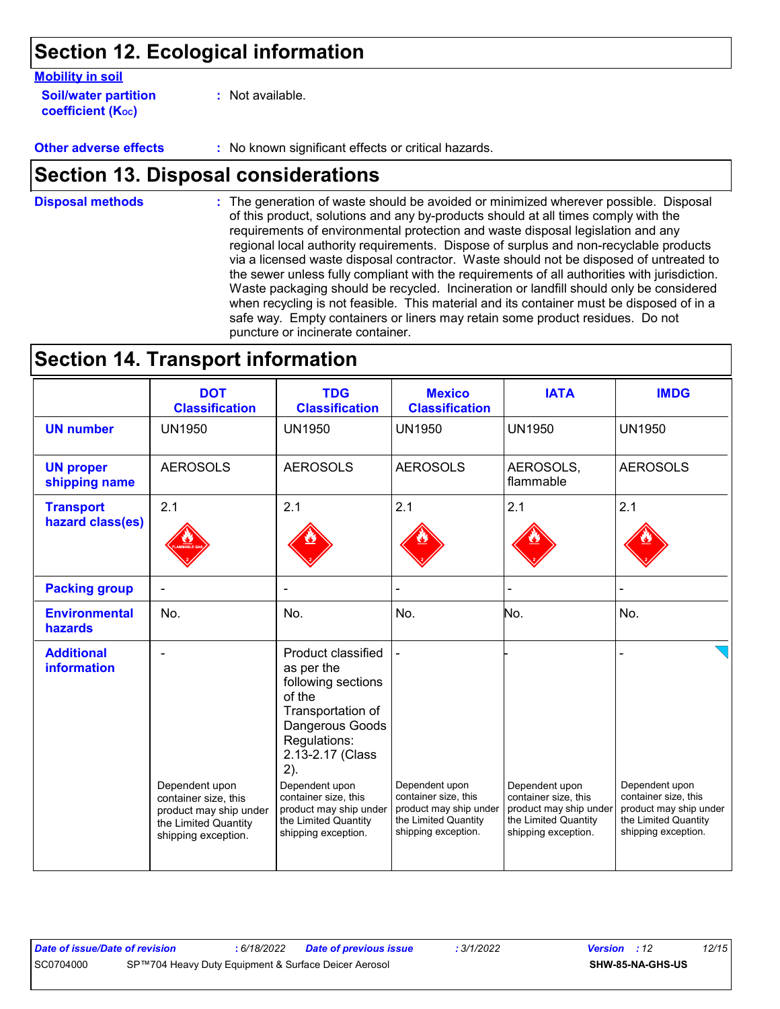### **Section 12. Ecological information**

| <b>Mobility in soil</b>     |                  |
|-----------------------------|------------------|
| <b>Soil/water partition</b> | : Not available. |
| <b>coefficient (Koc)</b>    |                  |

**Other adverse effects** : No known significant effects or critical hazards.

### **Section 13. Disposal considerations**

The generation of waste should be avoided or minimized wherever possible. Disposal of this product, solutions and any by-products should at all times comply with the requirements of environmental protection and waste disposal legislation and any regional local authority requirements. Dispose of surplus and non-recyclable products via a licensed waste disposal contractor. Waste should not be disposed of untreated to the sewer unless fully compliant with the requirements of all authorities with jurisdiction. Waste packaging should be recycled. Incineration or landfill should only be considered when recycling is not feasible. This material and its container must be disposed of in a safe way. Empty containers or liners may retain some product residues. Do not puncture or incinerate container. **Disposal methods :**

### **Section 14. Transport information**

|                                         | <b>DOT</b><br><b>Classification</b>                                                                             | <b>TDG</b><br><b>Classification</b>                                                                                                                                                                                                                                    | <b>Mexico</b><br><b>Classification</b>                                                                          | <b>IATA</b>                                                                                                     | <b>IMDG</b>                                                                                                     |
|-----------------------------------------|-----------------------------------------------------------------------------------------------------------------|------------------------------------------------------------------------------------------------------------------------------------------------------------------------------------------------------------------------------------------------------------------------|-----------------------------------------------------------------------------------------------------------------|-----------------------------------------------------------------------------------------------------------------|-----------------------------------------------------------------------------------------------------------------|
| <b>UN number</b>                        | <b>UN1950</b>                                                                                                   | <b>UN1950</b>                                                                                                                                                                                                                                                          | <b>UN1950</b>                                                                                                   | <b>UN1950</b>                                                                                                   | <b>UN1950</b>                                                                                                   |
| <b>UN proper</b><br>shipping name       | <b>AEROSOLS</b>                                                                                                 | <b>AEROSOLS</b>                                                                                                                                                                                                                                                        | <b>AEROSOLS</b>                                                                                                 | AEROSOLS,<br>flammable                                                                                          | <b>AEROSOLS</b>                                                                                                 |
| <b>Transport</b><br>hazard class(es)    | 2.1                                                                                                             | 2.1                                                                                                                                                                                                                                                                    | 2.1                                                                                                             | 2.1                                                                                                             | 2.1                                                                                                             |
| <b>Packing group</b>                    |                                                                                                                 |                                                                                                                                                                                                                                                                        |                                                                                                                 |                                                                                                                 |                                                                                                                 |
| <b>Environmental</b><br>hazards         | No.                                                                                                             | No.                                                                                                                                                                                                                                                                    | No.                                                                                                             | No.                                                                                                             | No.                                                                                                             |
| <b>Additional</b><br><b>information</b> | Dependent upon<br>container size, this<br>product may ship under<br>the Limited Quantity<br>shipping exception. | Product classified<br>as per the<br>following sections<br>of the<br>Transportation of<br>Dangerous Goods<br>Regulations:<br>2.13-2.17 (Class<br>2).<br>Dependent upon<br>container size, this<br>product may ship under<br>the Limited Quantity<br>shipping exception. | Dependent upon<br>container size, this<br>product may ship under<br>the Limited Quantity<br>shipping exception. | Dependent upon<br>container size, this<br>product may ship under<br>the Limited Quantity<br>shipping exception. | Dependent upon<br>container size, this<br>product may ship under<br>the Limited Quantity<br>shipping exception. |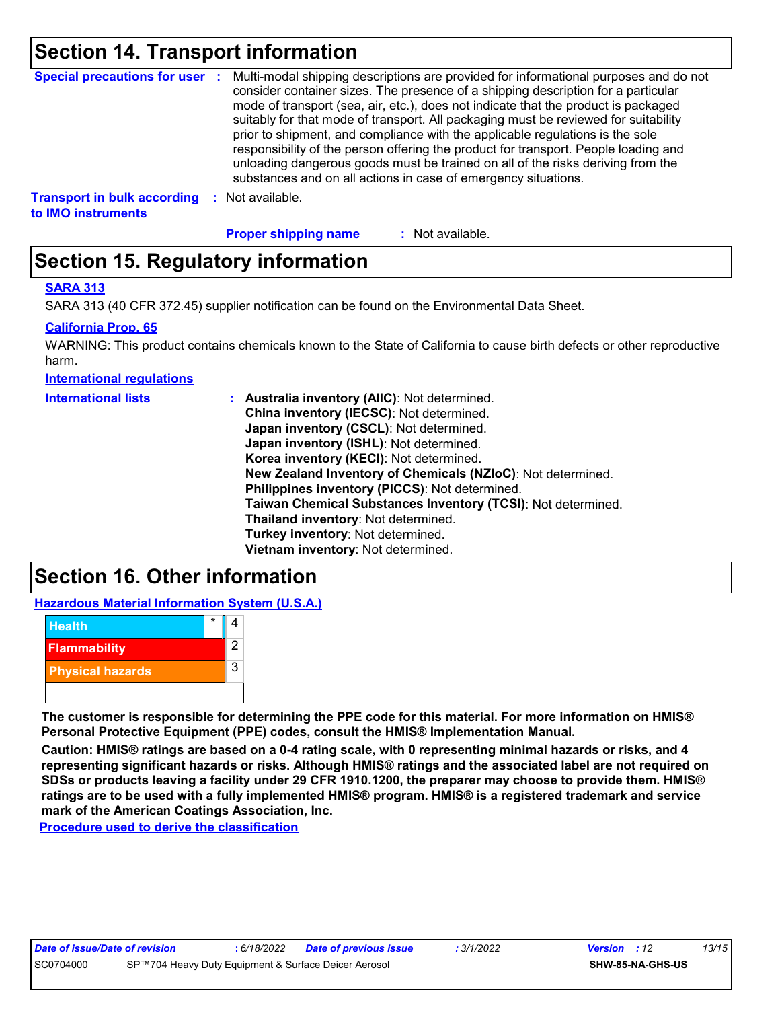### **Section 14. Transport information**

|                                                          |      | Special precautions for user : Multi-modal shipping descriptions are provided for informational purposes and do not<br>consider container sizes. The presence of a shipping description for a particular<br>mode of transport (sea, air, etc.), does not indicate that the product is packaged<br>suitably for that mode of transport. All packaging must be reviewed for suitability<br>prior to shipment, and compliance with the applicable regulations is the sole<br>responsibility of the person offering the product for transport. People loading and<br>unloading dangerous goods must be trained on all of the risks deriving from the<br>substances and on all actions in case of emergency situations. |
|----------------------------------------------------------|------|--------------------------------------------------------------------------------------------------------------------------------------------------------------------------------------------------------------------------------------------------------------------------------------------------------------------------------------------------------------------------------------------------------------------------------------------------------------------------------------------------------------------------------------------------------------------------------------------------------------------------------------------------------------------------------------------------------------------|
| <b>Transport in bulk according</b><br>to IMO instruments | - 50 | Not available.                                                                                                                                                                                                                                                                                                                                                                                                                                                                                                                                                                                                                                                                                                     |

**Proper shipping name :**

: Not available.

### **Section 15. Regulatory information**

#### **SARA 313**

SARA 313 (40 CFR 372.45) supplier notification can be found on the Environmental Data Sheet.

#### **California Prop. 65**

WARNING: This product contains chemicals known to the State of California to cause birth defects or other reproductive harm.

**International regulations**

| <b>International lists</b> | : Australia inventory (AIIC): Not determined.<br>China inventory (IECSC): Not determined.<br>Japan inventory (CSCL): Not determined.<br>Japan inventory (ISHL): Not determined.<br>Korea inventory (KECI): Not determined.<br>New Zealand Inventory of Chemicals (NZIoC): Not determined.<br>Philippines inventory (PICCS): Not determined.<br>Taiwan Chemical Substances Inventory (TCSI): Not determined.<br>Thailand inventory: Not determined. |
|----------------------------|----------------------------------------------------------------------------------------------------------------------------------------------------------------------------------------------------------------------------------------------------------------------------------------------------------------------------------------------------------------------------------------------------------------------------------------------------|
|                            | Turkey inventory: Not determined.                                                                                                                                                                                                                                                                                                                                                                                                                  |
|                            | Vietnam inventory: Not determined.                                                                                                                                                                                                                                                                                                                                                                                                                 |

### **Section 16. Other information**

**Hazardous Material Information System (U.S.A.)**



**The customer is responsible for determining the PPE code for this material. For more information on HMIS® Personal Protective Equipment (PPE) codes, consult the HMIS® Implementation Manual.**

**Caution: HMIS® ratings are based on a 0-4 rating scale, with 0 representing minimal hazards or risks, and 4 representing significant hazards or risks. Although HMIS® ratings and the associated label are not required on SDSs or products leaving a facility under 29 CFR 1910.1200, the preparer may choose to provide them. HMIS® ratings are to be used with a fully implemented HMIS® program. HMIS® is a registered trademark and service mark of the American Coatings Association, Inc.**

**Procedure used to derive the classification**